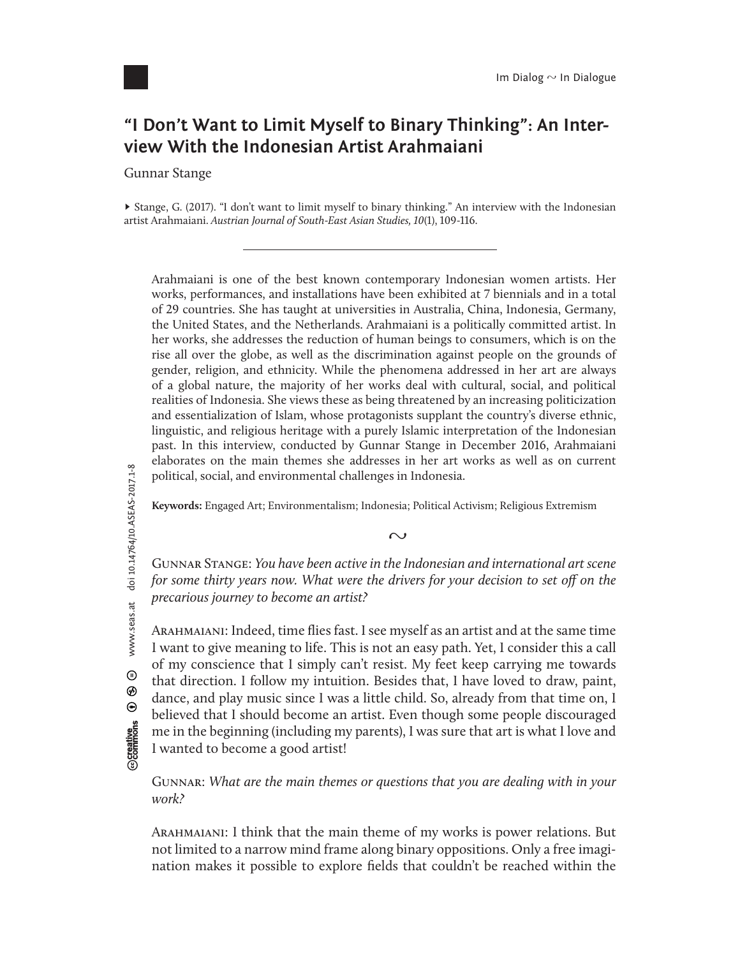

## **"I Don't Want to Limit Myself to Binary Thinking": An Interview With the Indonesian Artist Arahmaiani**

Gunnar Stange

► Stange, G. (2017). "I don't want to limit myself to binary thinking." An interview with the Indonesian artist Arahmaiani. *Austrian Journal of South-East Asian Studies,* 10(1), 109-116.

Arahmaiani is one of the best known contemporary Indonesian women artists. Her works, performances, and installations have been exhibited at 7 biennials and in a total of 29 countries. She has taught at universities in Australia, China, Indonesia, Germany, the United States, and the Netherlands. Arahmaiani is a politically committed artist. In her works, she addresses the reduction of human beings to consumers, which is on the rise all over the globe, as well as the discrimination against people on the grounds of gender, religion, and ethnicity. While the phenomena addressed in her art are always of a global nature, the majority of her works deal with cultural, social, and political realities of Indonesia. She views these as being threatened by an increasing politicization and essentialization of Islam, whose protagonists supplant the country's diverse ethnic, linguistic, and religious heritage with a purely Islamic interpretation of the Indonesian past. In this interview, conducted by Gunnar Stange in December 2016, Arahmaiani elaborates on the main themes she addresses in her art works as well as on current political, social, and environmental challenges in Indonesia.

**Keywords:** Engaged Art; Environmentalism; Indonesia; Political Activism; Religious Extremism

 $\sim$ 

Gunnar Stange: *You have been active in the Indonesian and international art scene for some thirty years now. What were the drivers for your decision to set o*ff *on the precarious journey to become an artist?*

Arahmaiani: Indeed, time flies fast. I see myself as an artist and at the same time I want to give meaning to life. This is not an easy path. Yet, I consider this a call of my conscience that I simply can't resist. My feet keep carrying me towards that direction. I follow my intuition. Besides that, I have loved to draw, paint, dance, and play music since I was a little child. So, already from that time on, I believed that I should become an artist. Even though some people discouraged me in the beginning (including my parents), I was sure that art is what I love and I wanted to become a good artist!

Gunnar: *What are the main themes or questions that you are dealing with in your work?*

Arahmaiani: I think that the main theme of my works is power relations. But not limited to a narrow mind frame along binary oppositions. Only a free imagination makes it possible to explore fields that couldn't be reached within the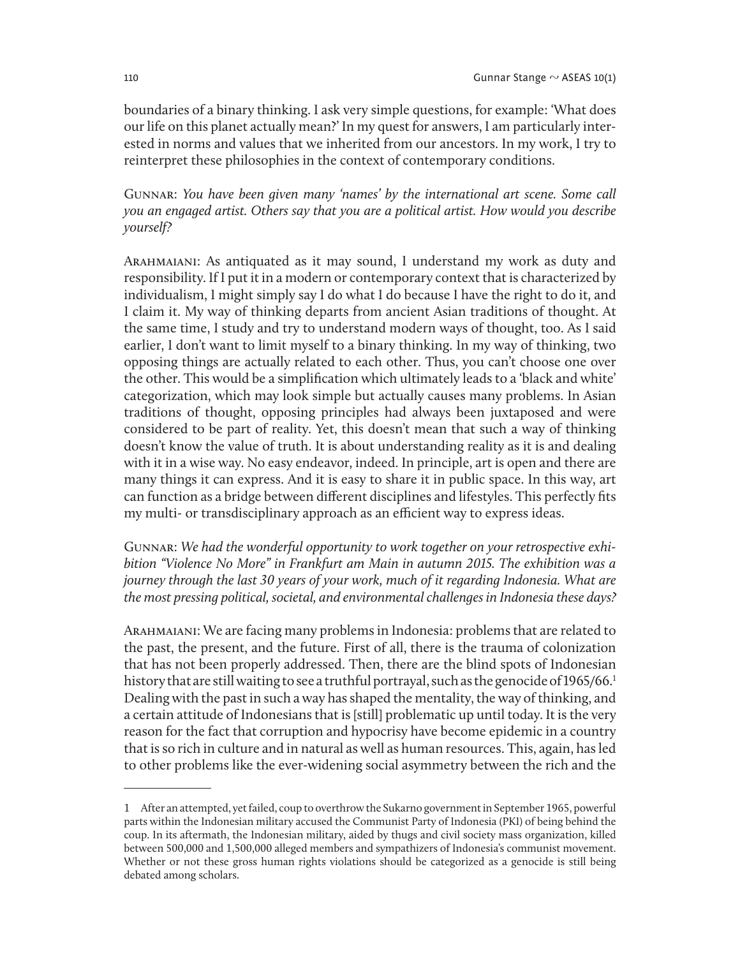boundaries of a binary thinking. I ask very simple questions, for example: 'What does our life on this planet actually mean?' In my quest for answers, I am particularly interested in norms and values that we inherited from our ancestors. In my work, I try to reinterpret these philosophies in the context of contemporary conditions.

Gunnar: *You have been given many 'names' by the international art scene. Some call you an engaged artist. Others say that you are a political artist. How would you describe yoursel*f*?*

Arahmaiani: As antiquated as it may sound, I understand my work as duty and responsibility. If I put it in a modern or contemporary context that is characterized by individualism, I might simply say I do what I do because I have the right to do it, and I claim it. My way of thinking departs from ancient Asian traditions of thought. At the same time, I study and try to understand modern ways of thought, too. As I said earlier, I don't want to limit myself to a binary thinking. In my way of thinking, two opposing things are actually related to each other. Thus, you can't choose one over the other. This would be a simplification which ultimately leads to a 'black and white' categorization, which may look simple but actually causes many problems. In Asian traditions of thought, opposing principles had always been juxtaposed and were considered to be part of reality. Yet, this doesn't mean that such a way of thinking doesn't know the value of truth. It is about understanding reality as it is and dealing with it in a wise way. No easy endeavor, indeed. In principle, art is open and there are many things it can express. And it is easy to share it in public space. In this way, art can function as a bridge between different disciplines and lifestyles. This perfectly fits my multi- or transdisciplinary approach as an efficient way to express ideas.

Gunnar: *We had the wonderful opportunity to work together on your retrospective exhibition "Violence No More" in Frankfurt am Main in autumn* 2015*. The exhibition was a journey through the last* 30 *years of your work, much of it regarding Indonesia. What are the most pressing political, societal, and environmental challenges in Indonesia these days?*

Arahmaiani: We are facing many problems in Indonesia: problems that are related to the past, the present, and the future. First of all, there is the trauma of colonization that has not been properly addressed. Then, there are the blind spots of Indonesian history that are still waiting to see a truthful portrayal, such as the genocide of 1965/66. 1 Dealing with the past in such a way has shaped the mentality, the way of thinking, and a certain attitude of Indonesians that is [still] problematic up until today. It is the very reason for the fact that corruption and hypocrisy have become epidemic in a country that is so rich in culture and in natural as well as human resources. This, again, has led to other problems like the ever-widening social asymmetry between the rich and the

<sup>1</sup> After an attempted, yet failed, coup to overthrow the Sukarno government in September 1965, powerful parts within the Indonesian military accused the Communist Party of Indonesia (PKI) of being behind the coup. In its aftermath, the Indonesian military, aided by thugs and civil society mass organization, killed between 500,000 and 1,500,000 alleged members and sympathizers of Indonesia's communist movement. Whether or not these gross human rights violations should be categorized as a genocide is still being debated among scholars.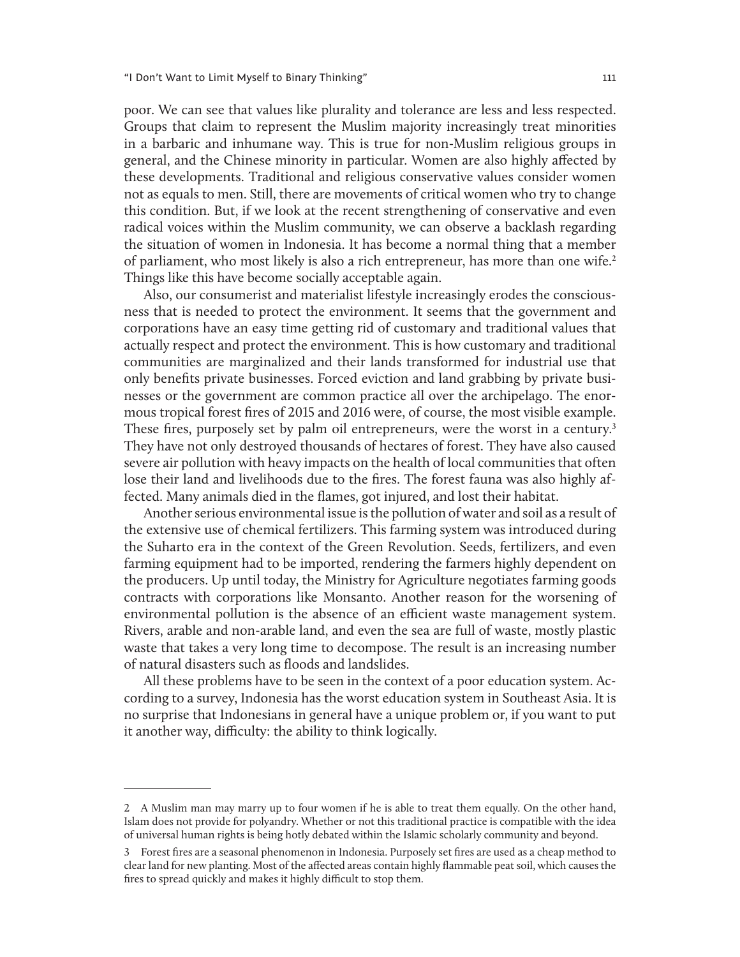poor. We can see that values like plurality and tolerance are less and less respected. Groups that claim to represent the Muslim majority increasingly treat minorities in a barbaric and inhumane way. This is true for non-Muslim religious groups in general, and the Chinese minority in particular. Women are also highly affected by these developments. Traditional and religious conservative values consider women not as equals to men. Still, there are movements of critical women who try to change this condition. But, if we look at the recent strengthening of conservative and even radical voices within the Muslim community, we can observe a backlash regarding the situation of women in Indonesia. It has become a normal thing that a member of parliament, who most likely is also a rich entrepreneur, has more than one wife.<sup>2</sup> Things like this have become socially acceptable again.

Also, our consumerist and materialist lifestyle increasingly erodes the consciousness that is needed to protect the environment. It seems that the government and corporations have an easy time getting rid of customary and traditional values that actually respect and protect the environment. This is how customary and traditional communities are marginalized and their lands transformed for industrial use that only benefits private businesses. Forced eviction and land grabbing by private businesses or the government are common practice all over the archipelago. The enormous tropical forest fires of 2015 and 2016 were, of course, the most visible example. These fires, purposely set by palm oil entrepreneurs, were the worst in a century.<sup>3</sup> They have not only destroyed thousands of hectares of forest. They have also caused severe air pollution with heavy impacts on the health of local communities that often lose their land and livelihoods due to the fires. The forest fauna was also highly affected. Many animals died in the flames, got injured, and lost their habitat.

Another serious environmental issue is the pollution of water and soil as a result of the extensive use of chemical fertilizers. This farming system was introduced during the Suharto era in the context of the Green Revolution. Seeds, fertilizers, and even farming equipment had to be imported, rendering the farmers highly dependent on the producers. Up until today, the Ministry for Agriculture negotiates farming goods contracts with corporations like Monsanto. Another reason for the worsening of environmental pollution is the absence of an efficient waste management system. Rivers, arable and non-arable land, and even the sea are full of waste, mostly plastic waste that takes a very long time to decompose. The result is an increasing number of natural disasters such as floods and landslides.

All these problems have to be seen in the context of a poor education system. According to a survey, Indonesia has the worst education system in Southeast Asia. It is no surprise that Indonesians in general have a unique problem or, if you want to put it another way, difficulty: the ability to think logically.

<sup>2</sup> A Muslim man may marry up to four women if he is able to treat them equally. On the other hand, Islam does not provide for polyandry. Whether or not this traditional practice is compatible with the idea of universal human rights is being hotly debated within the Islamic scholarly community and beyond.

<sup>3</sup> Forest fires are a seasonal phenomenon in Indonesia. Purposely set fires are used as a cheap method to clear land for new planting. Most of the affected areas contain highly flammable peat soil, which causes the fires to spread quickly and makes it highly difficult to stop them.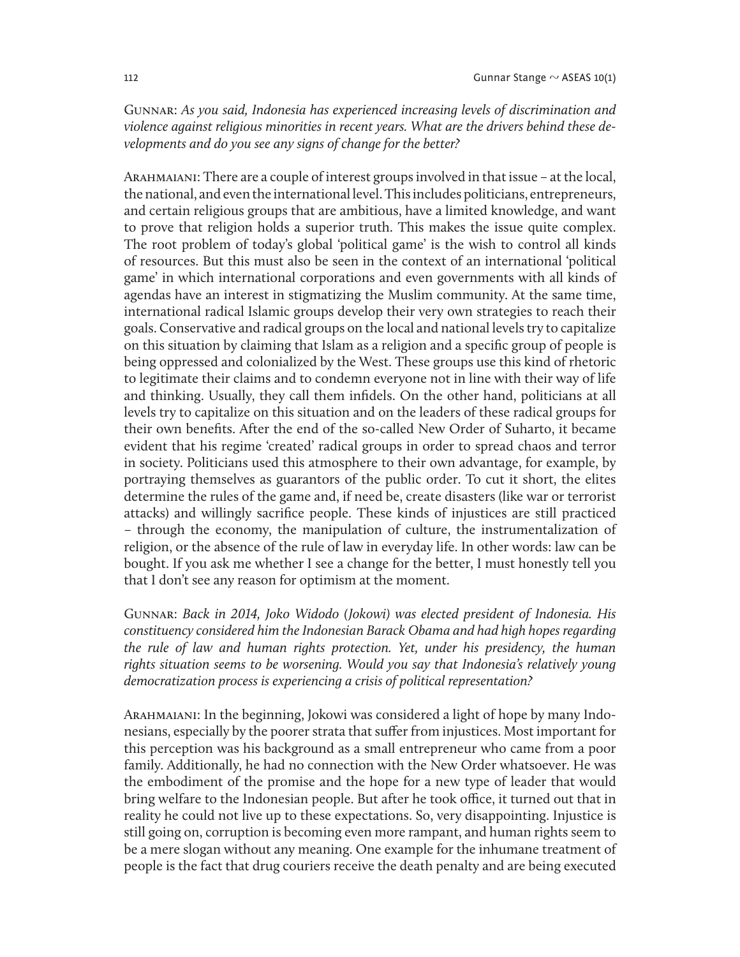Gunnar: *As you said, Indonesia has experienced increasing levels of discrimination and violence against religious minorities in recent years. What are the drivers behind these developments and do you see any signs of change for the better?*

Arahmaiani: There are a couple of interest groups involved in that issue – at the local, the national, and even the international level. This includes politicians, entrepreneurs, and certain religious groups that are ambitious, have a limited knowledge, and want to prove that religion holds a superior truth. This makes the issue quite complex. The root problem of today's global 'political game' is the wish to control all kinds of resources. But this must also be seen in the context of an international 'political game' in which international corporations and even governments with all kinds of agendas have an interest in stigmatizing the Muslim community. At the same time, international radical Islamic groups develop their very own strategies to reach their goals. Conservative and radical groups on the local and national levels try to capitalize on this situation by claiming that Islam as a religion and a specific group of people is being oppressed and colonialized by the West. These groups use this kind of rhetoric to legitimate their claims and to condemn everyone not in line with their way of life and thinking. Usually, they call them infidels. On the other hand, politicians at all levels try to capitalize on this situation and on the leaders of these radical groups for their own benefits. After the end of the so-called New Order of Suharto, it became evident that his regime 'created' radical groups in order to spread chaos and terror in society. Politicians used this atmosphere to their own advantage, for example, by portraying themselves as guarantors of the public order. To cut it short, the elites determine the rules of the game and, if need be, create disasters (like war or terrorist attacks) and willingly sacrifice people. These kinds of injustices are still practiced – through the economy, the manipulation of culture, the instrumentalization of religion, or the absence of the rule of law in everyday life. In other words: law can be bought. If you ask me whether I see a change for the better, I must honestly tell you that I don't see any reason for optimism at the moment.

Gunnar: *Back in* 2014*, Joko Widodo (Jokowi) was elected president of Indonesia. His constituency considered him the Indonesian Barack Obama and had high hopes regarding the rule of law and human rights protection. Yet, under his presidency, the human rights situation seems to be worsening. Would you say that Indonesia's relatively young democratization process is experiencing a crisis of political representation?*

Arahmaiani: In the beginning, Jokowi was considered a light of hope by many Indonesians, especially by the poorer strata that suffer from injustices. Most important for this perception was his background as a small entrepreneur who came from a poor family. Additionally, he had no connection with the New Order whatsoever. He was the embodiment of the promise and the hope for a new type of leader that would bring welfare to the Indonesian people. But after he took office, it turned out that in reality he could not live up to these expectations. So, very disappointing. Injustice is still going on, corruption is becoming even more rampant, and human rights seem to be a mere slogan without any meaning. One example for the inhumane treatment of people is the fact that drug couriers receive the death penalty and are being executed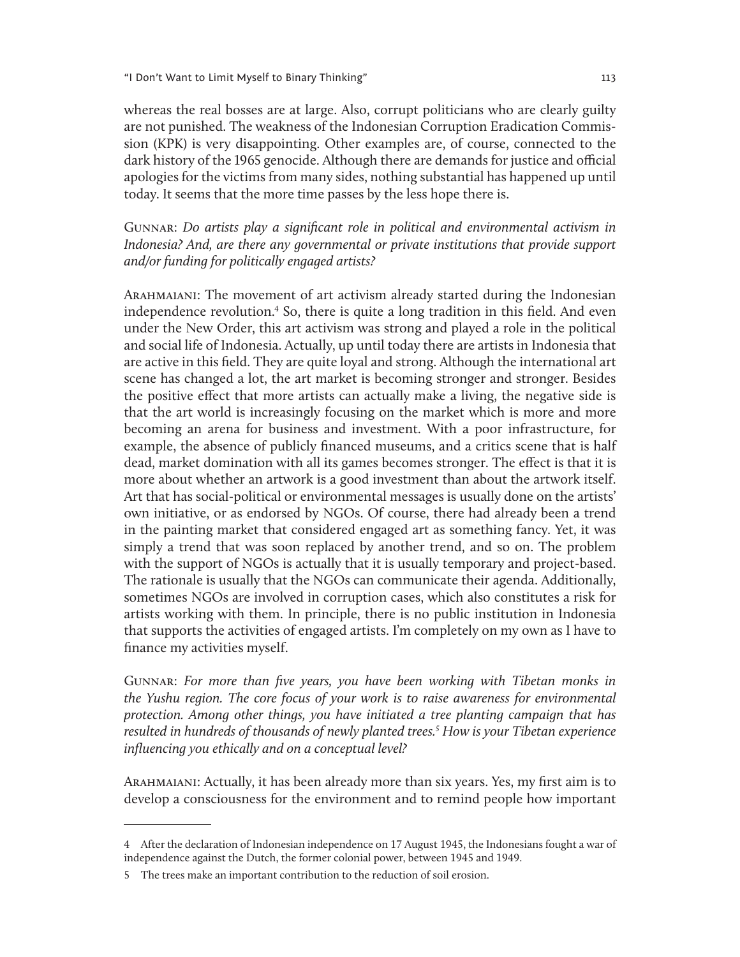whereas the real bosses are at large. Also, corrupt politicians who are clearly guilty are not punished. The weakness of the Indonesian Corruption Eradication Commission (KPK) is very disappointing. Other examples are, of course, connected to the dark history of the 1965 genocide. Although there are demands for justice and official apologies for the victims from many sides, nothing substantial has happened up until today. It seems that the more time passes by the less hope there is.

Gunnar: *Do artists play a significant role in political and environmental activism in Indonesia? And, are there any governmental or private institutions that provide support and/or funding for politically engaged artists?*

Arahmaiani: The movement of art activism already started during the Indonesian independence revolution.<sup>4</sup> So, there is quite a long tradition in this field. And even under the New Order, this art activism was strong and played a role in the political and social life of Indonesia. Actually, up until today there are artists in Indonesia that are active in this field. They are quite loyal and strong. Although the international art scene has changed a lot, the art market is becoming stronger and stronger. Besides the positive effect that more artists can actually make a living, the negative side is that the art world is increasingly focusing on the market which is more and more becoming an arena for business and investment. With a poor infrastructure, for example, the absence of publicly financed museums, and a critics scene that is half dead, market domination with all its games becomes stronger. The effect is that it is more about whether an artwork is a good investment than about the artwork itself. Art that has social-political or environmental messages is usually done on the artists' own initiative, or as endorsed by NGOs. Of course, there had already been a trend in the painting market that considered engaged art as something fancy. Yet, it was simply a trend that was soon replaced by another trend, and so on. The problem with the support of NGOs is actually that it is usually temporary and project-based. The rationale is usually that the NGOs can communicate their agenda. Additionally, sometimes NGOs are involved in corruption cases, which also constitutes a risk for artists working with them. In principle, there is no public institution in Indonesia that supports the activities of engaged artists. I'm completely on my own as I have to finance my activities myself.

Gunnar: *For more than five years, you have been working with Tibetan monks in the Yushu region. The core focus of your work is to raise awareness for environmental protection. Among other things, you have initiated a tree planting campaign that has resulted in hundreds of thousands of newly planted trees.*<sup>5</sup>  *How is your Tibetan experience influencing you ethically and on a conceptual level?* 

Arahmaiani: Actually, it has been already more than six years. Yes, my first aim is to develop a consciousness for the environment and to remind people how important

<sup>4</sup> After the declaration of Indonesian independence on 17 August 1945, the Indonesians fought a war of independence against the Dutch, the former colonial power, between 1945 and 1949.

<sup>5</sup> The trees make an important contribution to the reduction of soil erosion.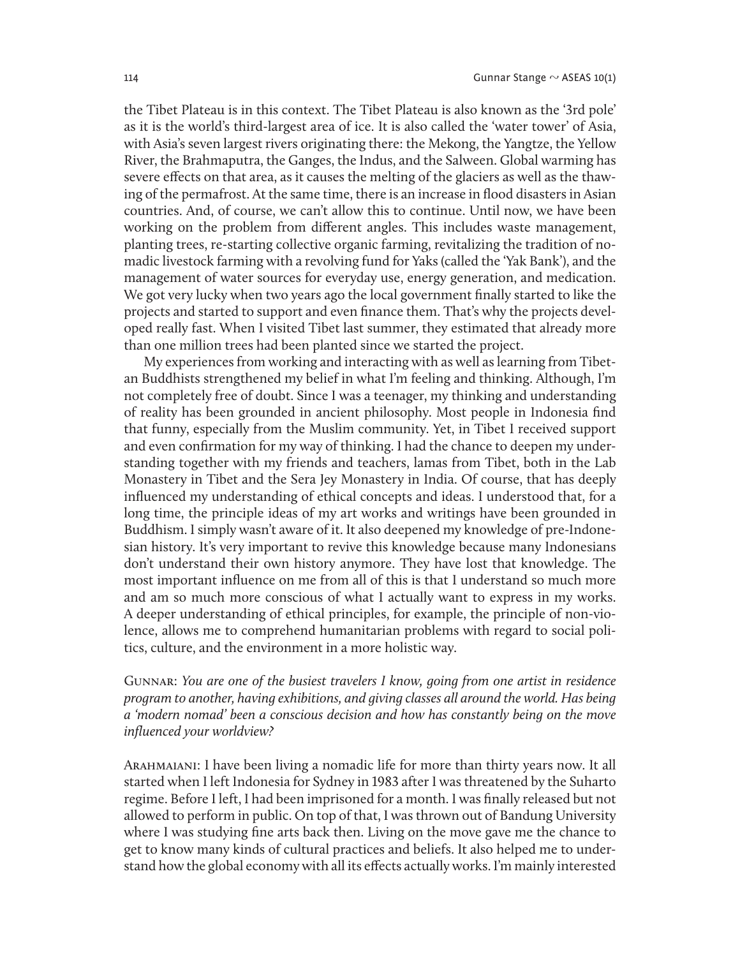the Tibet Plateau is in this context. The Tibet Plateau is also known as the '3rd pole' as it is the world's third-largest area of ice. It is also called the 'water tower' of Asia, with Asia's seven largest rivers originating there: the Mekong, the Yangtze, the Yellow River, the Brahmaputra, the Ganges, the Indus, and the Salween. Global warming has severe effects on that area, as it causes the melting of the glaciers as well as the thawing of the permafrost. At the same time, there is an increase in flood disasters in Asian countries. And, of course, we can't allow this to continue. Until now, we have been working on the problem from different angles. This includes waste management, planting trees, re-starting collective organic farming, revitalizing the tradition of nomadic livestock farming with a revolving fund for Yaks (called the 'Yak Bank'), and the management of water sources for everyday use, energy generation, and medication. We got very lucky when two years ago the local government finally started to like the projects and started to support and even finance them. That's why the projects developed really fast. When I visited Tibet last summer, they estimated that already more than one million trees had been planted since we started the project.

My experiences from working and interacting with as well as learning from Tibetan Buddhists strengthened my belief in what I'm feeling and thinking. Although, I'm not completely free of doubt. Since I was a teenager, my thinking and understanding of reality has been grounded in ancient philosophy. Most people in Indonesia find that funny, especially from the Muslim community. Yet, in Tibet I received support and even confirmation for my way of thinking. I had the chance to deepen my understanding together with my friends and teachers, lamas from Tibet, both in the Lab Monastery in Tibet and the Sera Jey Monastery in India. Of course, that has deeply influenced my understanding of ethical concepts and ideas. I understood that, for a long time, the principle ideas of my art works and writings have been grounded in Buddhism. I simply wasn't aware of it. It also deepened my knowledge of pre-Indonesian history. It's very important to revive this knowledge because many Indonesians don't understand their own history anymore. They have lost that knowledge. The most important influence on me from all of this is that I understand so much more and am so much more conscious of what I actually want to express in my works. A deeper understanding of ethical principles, for example, the principle of non-violence, allows me to comprehend humanitarian problems with regard to social politics, culture, and the environment in a more holistic way.

## Gunnar: *You are one of the busiest travelers I know, going from one artist in residence program to another, having exhibitions, and giving classes all around the world. Has being a 'modern nomad' been a conscious decision and how has constantly being on the move influenced your worldview?*

Arahmaiani: I have been living a nomadic life for more than thirty years now. It all started when I left Indonesia for Sydney in 1983 after I was threatened by the Suharto regime. Before I left, I had been imprisoned for a month. I was finally released but not allowed to perform in public. On top of that, I was thrown out of Bandung University where I was studying fine arts back then. Living on the move gave me the chance to get to know many kinds of cultural practices and beliefs. It also helped me to understand how the global economy with all its effects actually works. I'm mainly interested